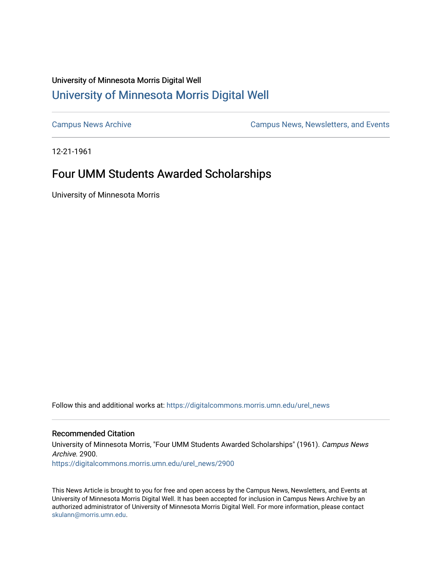## University of Minnesota Morris Digital Well [University of Minnesota Morris Digital Well](https://digitalcommons.morris.umn.edu/)

[Campus News Archive](https://digitalcommons.morris.umn.edu/urel_news) [Campus News, Newsletters, and Events](https://digitalcommons.morris.umn.edu/externalrel) 

12-21-1961

# Four UMM Students Awarded Scholarships

University of Minnesota Morris

Follow this and additional works at: [https://digitalcommons.morris.umn.edu/urel\\_news](https://digitalcommons.morris.umn.edu/urel_news?utm_source=digitalcommons.morris.umn.edu%2Furel_news%2F2900&utm_medium=PDF&utm_campaign=PDFCoverPages) 

## Recommended Citation

University of Minnesota Morris, "Four UMM Students Awarded Scholarships" (1961). Campus News Archive. 2900. [https://digitalcommons.morris.umn.edu/urel\\_news/2900](https://digitalcommons.morris.umn.edu/urel_news/2900?utm_source=digitalcommons.morris.umn.edu%2Furel_news%2F2900&utm_medium=PDF&utm_campaign=PDFCoverPages) 

This News Article is brought to you for free and open access by the Campus News, Newsletters, and Events at University of Minnesota Morris Digital Well. It has been accepted for inclusion in Campus News Archive by an authorized administrator of University of Minnesota Morris Digital Well. For more information, please contact [skulann@morris.umn.edu.](mailto:skulann@morris.umn.edu)